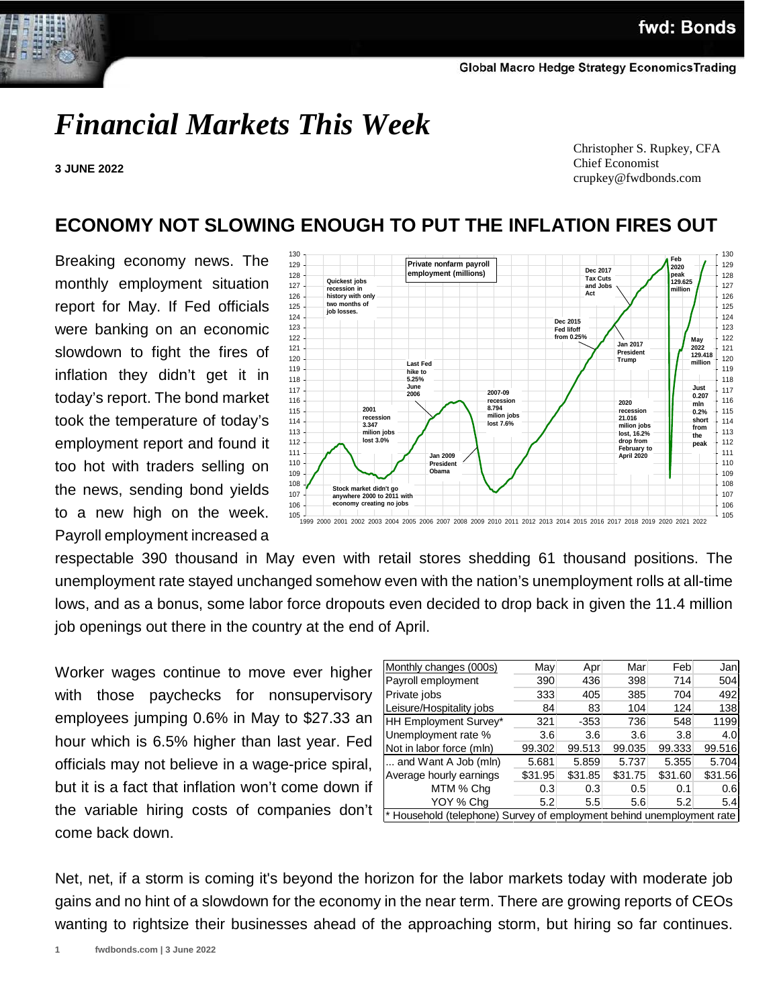# *Financial Markets This Week*

**3 JUNE 2022**

 Christopher S. Rupkey, CFA Chief Economist crupkey@fwdbonds.com

## **ECONOMY NOT SLOWING ENOUGH TO PUT THE INFLATION FIRES OUT**

Breaking economy news. The monthly employment situation report for May. If Fed officials were banking on an economic slowdown to fight the fires of inflation they didn't get it in today's report. The bond market took the temperature of today's employment report and found it too hot with traders selling on the news, sending bond yields to a new high on the week. Payroll employment increased a



respectable 390 thousand in May even with retail stores shedding 61 thousand positions. The unemployment rate stayed unchanged somehow even with the nation's unemployment rolls at all-time lows, and as a bonus, some labor force dropouts even decided to drop back in given the 11.4 million job openings out there in the country at the end of April.

Worker wages continue to move ever higher with those paychecks for nonsupervisory employees jumping 0.6% in May to \$27.33 an hour which is 6.5% higher than last year. Fed officials may not believe in a wage-price spiral, but it is a fact that inflation won't come down if the variable hiring costs of companies don't come back down.

| Monthly changes (000s)                                                | May     | Apr     | Mar     | Feb     | Jan     |  |  |
|-----------------------------------------------------------------------|---------|---------|---------|---------|---------|--|--|
| Payroll employment                                                    | 390     | 436     | 398     | 714     | 504     |  |  |
| Private jobs                                                          | 333     | 405     | 385     | 704     | 492     |  |  |
| Leisure/Hospitality jobs                                              | 84      | 83      | 104     | 124     | 138     |  |  |
| HH Employment Survey*                                                 | 321     | $-353$  | 736     | 548     | 1199    |  |  |
| Unemployment rate %                                                   | 3.6     | 3.6     | 3.6     | 3.8     | 4.0     |  |  |
| Not in labor force (mln)                                              | 99.302  | 99.513  | 99.035  | 99.333  | 99.516  |  |  |
| and Want A Job (mln)                                                  | 5.681   | 5.859   | 5.737   | 5.355   | 5.704   |  |  |
| Average hourly earnings                                               | \$31.95 | \$31.85 | \$31.75 | \$31.60 | \$31.56 |  |  |
| MTM % Chq                                                             | 0.3     | 0.3     | 0.5     | 0.1     | 0.6     |  |  |
| YOY % Chq                                                             | 5.2     | 5.5     | 5.6     | 5.2     | 5.4     |  |  |
| * Household (telephone) Survey of employment behind unemployment rate |         |         |         |         |         |  |  |

Net, net, if a storm is coming it's beyond the horizon for the labor markets today with moderate job gains and no hint of a slowdown for the economy in the near term. There are growing reports of CEOs wanting to rightsize their businesses ahead of the approaching storm, but hiring so far continues.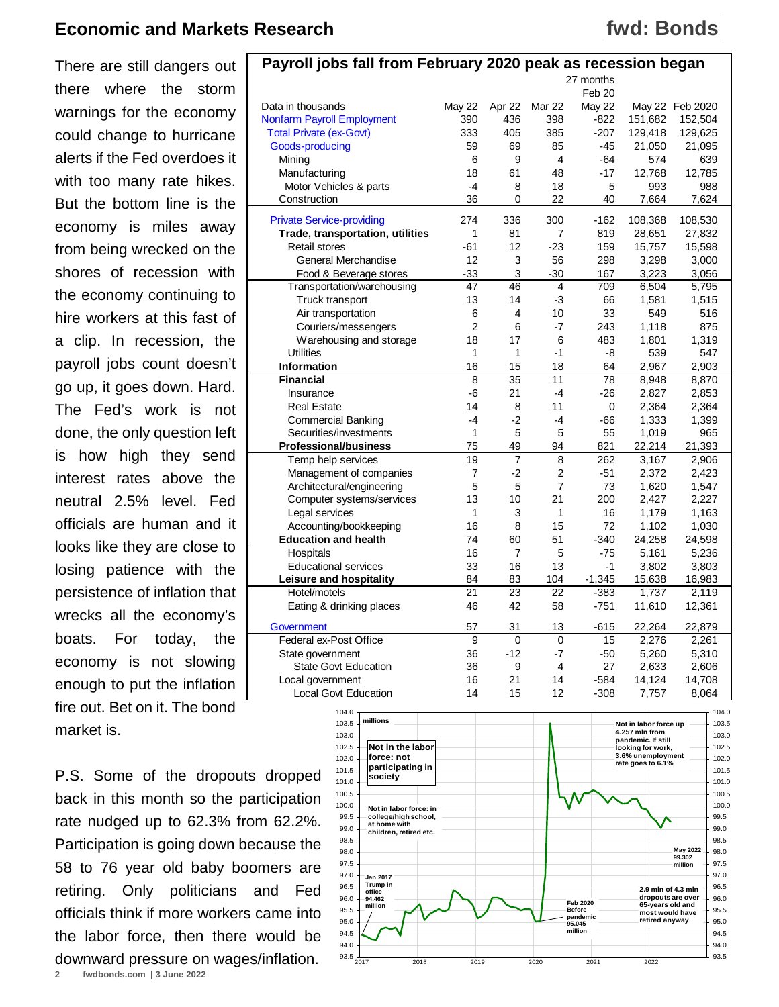There are still dangers out there where the storm warnings for the economy could change to hurricane alerts if the Fed overdoes it with too many rate hikes. But the bottom line is the economy is miles away from being wrecked on the shores of recession with the economy continuing to hire workers at this fast of a clip. In recession, the payroll jobs count doesn't go up, it goes down. Hard. The Fed's work is not done, the only question left is how high they send interest rates above the neutral 2.5% level. Fed officials are human and it looks like they are close to losing patience with the persistence of inflation that wrecks all the economy's boats. For today, the economy is not slowing enough to put the inflation fire out. Bet on it. The bond market is.

P.S. Some of the dropouts dropped back in this month so the participation rate nudged up to 62.3% from 62.2%. Participation is going down because the 58 to 76 year old baby boomers are retiring. Only politicians and Fed officials think if more workers came into the labor force, then there would be downward pressure on wages/inflation.





**2 fwdbonds.com | 3 June 2022**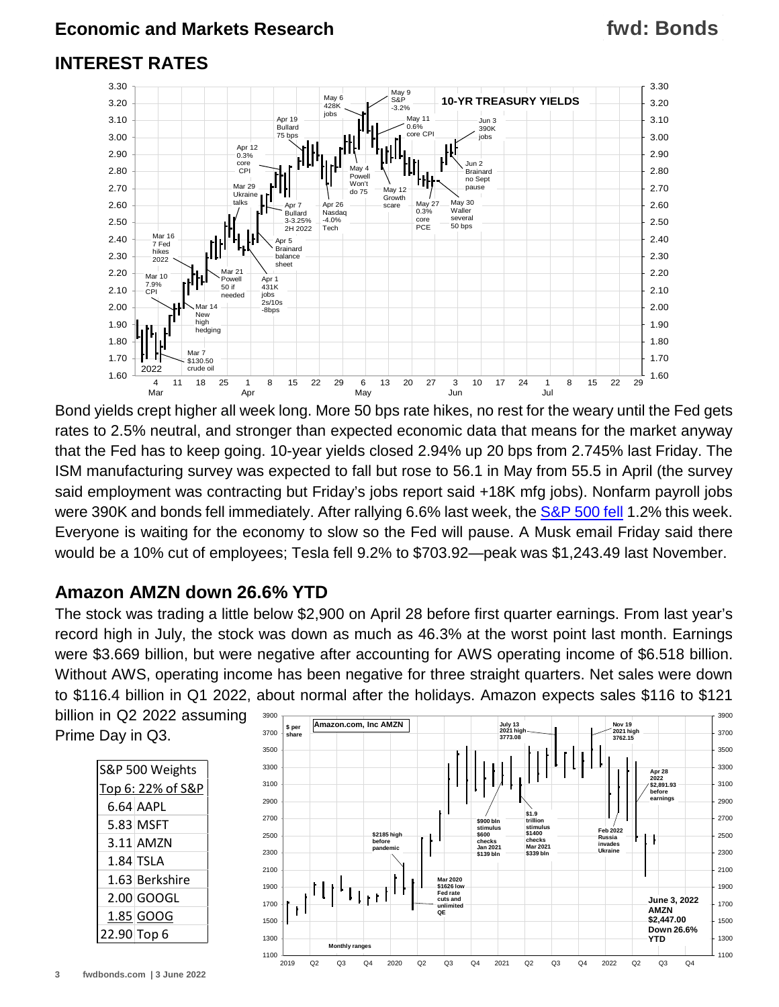## **INTEREST RATES**



Bond yields crept higher all week long. More 50 bps rate hikes, no rest for the weary until the Fed gets rates to 2.5% neutral, and stronger than expected economic data that means for the market anyway that the Fed has to keep going. 10-year yields closed 2.94% up 20 bps from 2.745% last Friday. The ISM manufacturing survey was expected to fall but rose to 56.1 in May from 55.5 in April (the survey said employment was contracting but Friday's jobs report said +18K mfg jobs). Nonfarm payroll jobs were 390K and bonds fell immediately. After rallying 6.6% last week, the [S&P 500 fell](https://www.fwdbonds.com/images/The_Stock_Show_.mp4) 1.2% this week. Everyone is waiting for the economy to slow so the Fed will pause. A Musk email Friday said there would be a 10% cut of employees; Tesla fell 9.2% to \$703.92—peak was \$1,243.49 last November.

## **Amazon AMZN down 26.6% YTD**

The stock was trading a little below \$2,900 on April 28 before first quarter earnings. From last year's record high in July, the stock was down as much as 46.3% at the worst point last month. Earnings were \$3.669 billion, but were negative after accounting for AWS operating income of \$6.518 billion. Without AWS, operating income has been negative for three straight quarters. Net sales were down to \$116.4 billion in Q1 2022, about normal after the holidays. Amazon expects sales \$116 to \$121

billion in Q2 2022 assuming Prime Day in Q3.



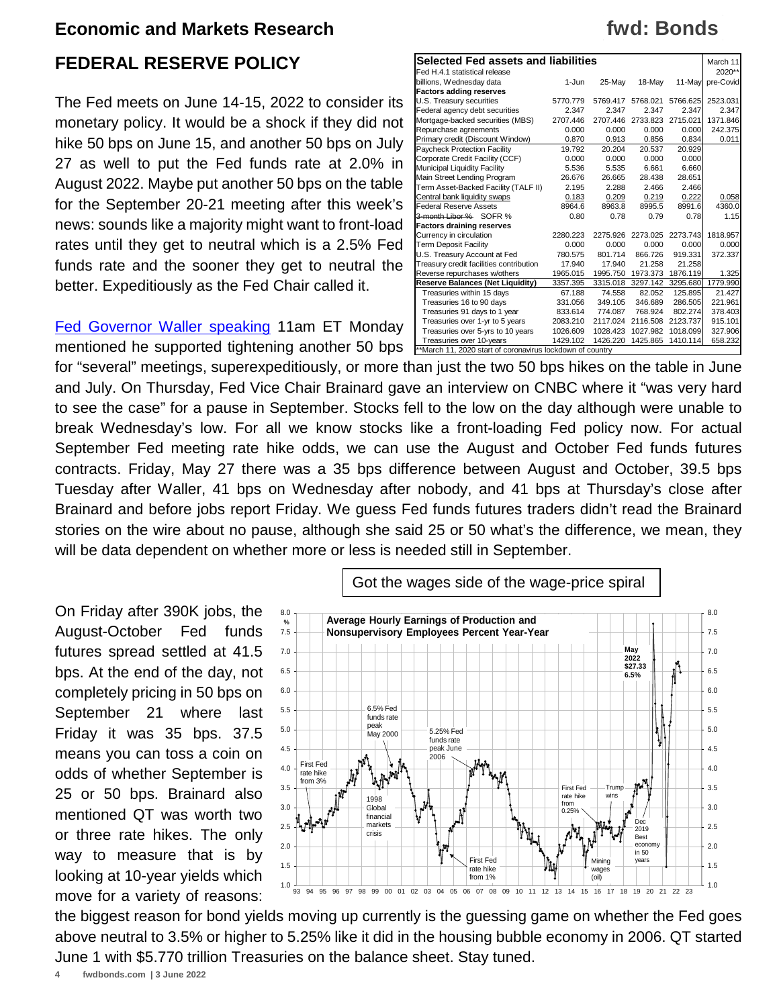## **FEDERAL RESERVE POLICY**

The Fed meets on June 14-15, 2022 to consider its monetary policy. It would be a shock if they did not hike 50 bps on June 15, and another 50 bps on July 27 as well to put the Fed funds rate at 2.0% in August 2022. Maybe put another 50 bps on the table for the September 20-21 meeting after this week's news: sounds like a majority might want to front-load rates until they get to neutral which is a 2.5% Fed funds rate and the sooner they get to neutral the better. Expeditiously as the Fed Chair called it.

[Fed Governor Waller speaking](https://www.federalreserve.gov/newsevents/speech/waller20220530a.htm) 11am ET Monday mentioned he supported tightening another 50 bps

| <b>Selected Fed assets and liabilities</b>                |          |          |          |          |           |  |  |
|-----------------------------------------------------------|----------|----------|----------|----------|-----------|--|--|
| Fed H.4.1 statistical release                             |          |          |          |          | 2020**    |  |  |
| billions, Wednesday data                                  | 1-Jun    | 25-May   | 18-May   | 11-Mav   | pre-Covid |  |  |
| <b>Factors adding reserves</b>                            |          |          |          |          |           |  |  |
| U.S. Treasury securities                                  | 5770.779 | 5769.417 | 5768.021 | 5766.625 | 2523.031  |  |  |
| Federal agency debt securities                            | 2.347    | 2.347    | 2.347    | 2.347    | 2.347     |  |  |
| Mortgage-backed securities (MBS)                          | 2707.446 | 2707.446 | 2733.823 | 2715.021 | 1371.846  |  |  |
| Repurchase agreements                                     | 0.000    | 0.000    | 0.000    | 0.000    | 242.375   |  |  |
| Primary credit (Discount Window)                          | 0.870    | 0.913    | 0.856    | 0.834    | 0.011     |  |  |
| Paycheck Protection Facility                              | 19.792   | 20.204   | 20.537   | 20.929   |           |  |  |
| Corporate Credit Facility (CCF)                           | 0.000    | 0.000    | 0.000    | 0.000    |           |  |  |
| Municipal Liquidity Facility                              | 5.536    | 5.535    | 6.661    | 6.660    |           |  |  |
| Main Street Lending Program                               | 26.676   | 26.665   | 28.438   | 28.651   |           |  |  |
| Term Asset-Backed Facility (TALF II)                      | 2.195    | 2.288    | 2.466    | 2.466    |           |  |  |
| Central bank liquidity swaps                              | 0.183    | 0.209    | 0.219    | 0.222    | 0.058     |  |  |
| <b>Federal Reserve Assets</b>                             | 8964.6   | 8963.8   | 8995.5   | 8991.6   | 4360.0    |  |  |
| 3-month Libor % SOFR %                                    | 0.80     | 0.78     | 0.79     | 0.78     | 1.15      |  |  |
| <b>Factors draining reserves</b>                          |          |          |          |          |           |  |  |
| Currency in circulation                                   | 2280.223 | 2275.926 | 2273.025 | 2273.743 | 1818.957  |  |  |
| <b>Term Deposit Facility</b>                              | 0.000    | 0.000    | 0.000    | 0.000    | 0.000     |  |  |
| U.S. Treasury Account at Fed                              | 780.575  | 801.714  | 866.726  | 919.331  | 372.337   |  |  |
| Treasury credit facilities contribution                   | 17.940   | 17.940   | 21.258   | 21.258   |           |  |  |
| Reverse repurchases w/others                              | 1965.015 | 1995.750 | 1973.373 | 1876.119 | 1.325     |  |  |
| <b>Reserve Balances (Net Liquidity)</b>                   | 3357.395 | 3315.018 | 3297.142 | 3295.680 | 1779.990  |  |  |
| Treasuries within 15 days                                 | 67.188   | 74.558   | 82.052   | 125.895  | 21.427    |  |  |
| Treasuries 16 to 90 days                                  | 331.056  | 349.105  | 346.689  | 286.505  | 221.961   |  |  |
| Treasuries 91 days to 1 year                              | 833.614  | 774.087  | 768.924  | 802.274  | 378.403   |  |  |
| Treasuries over 1-yr to 5 years                           | 2083.210 | 2117.024 | 2116.508 | 2123.737 | 915.101   |  |  |
| Treasuries over 5-yrs to 10 years                         | 1026.609 | 1028.423 | 1027.982 | 1018.099 | 327.906   |  |  |
| Treasuries over 10-years                                  | 1429.102 | 1426.220 | 1425.865 | 1410.114 | 658.232   |  |  |
| **March 11, 2020 start of coronavirus lockdown of country |          |          |          |          |           |  |  |

for "several" meetings, superexpeditiously, or more than just the two 50 bps hikes on the table in June and July. On Thursday, Fed Vice Chair Brainard gave an interview on CNBC where it "was very hard to see the case" for a pause in September. Stocks fell to the low on the day although were unable to break Wednesday's low. For all we know stocks like a front-loading Fed policy now. For actual September Fed meeting rate hike odds, we can use the August and October Fed funds futures contracts. Friday, May 27 there was a 35 bps difference between August and October, 39.5 bps Tuesday after Waller, 41 bps on Wednesday after nobody, and 41 bps at Thursday's close after Brainard and before jobs report Friday. We guess Fed funds futures traders didn't read the Brainard stories on the wire about no pause, although she said 25 or 50 what's the difference, we mean, they will be data dependent on whether more or less is needed still in September.

On Friday after 390K jobs, the August-October Fed funds futures spread settled at 41.5 bps. At the end of the day, not completely pricing in 50 bps on September 21 where last Friday it was 35 bps. 37.5 means you can toss a coin on odds of whether September is 25 or 50 bps. Brainard also mentioned QT was worth two or three rate hikes. The only way to measure that is by looking at 10-year yields which move for a variety of reasons:



the biggest reason for bond yields moving up currently is the guessing game on whether the Fed goes above neutral to 3.5% or higher to 5.25% like it did in the housing bubble economy in 2006. QT started June 1 with \$5.770 trillion Treasuries on the balance sheet. Stay tuned.

## **fwd: Bonds**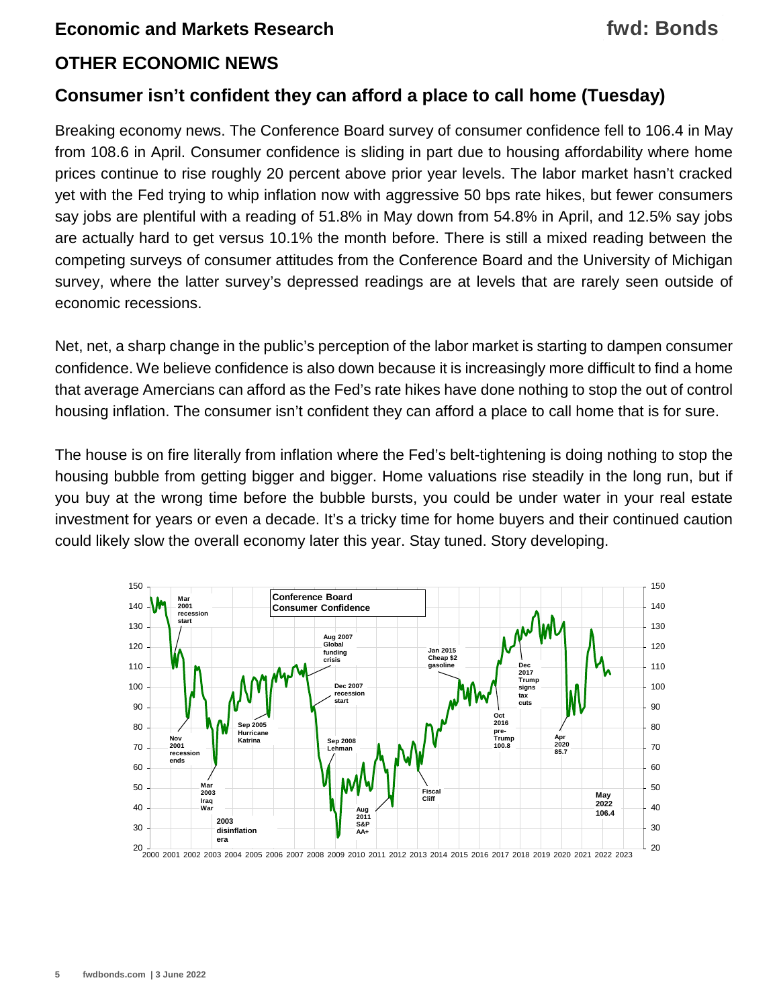## **fwd: Bonds**

## **OTHER ECONOMIC NEWS**

## **Consumer isn't confident they can afford a place to call home (Tuesday)**

Breaking economy news. The Conference Board survey of consumer confidence fell to 106.4 in May from 108.6 in April. Consumer confidence is sliding in part due to housing affordability where home prices continue to rise roughly 20 percent above prior year levels. The labor market hasn't cracked yet with the Fed trying to whip inflation now with aggressive 50 bps rate hikes, but fewer consumers say jobs are plentiful with a reading of 51.8% in May down from 54.8% in April, and 12.5% say jobs are actually hard to get versus 10.1% the month before. There is still a mixed reading between the competing surveys of consumer attitudes from the Conference Board and the University of Michigan survey, where the latter survey's depressed readings are at levels that are rarely seen outside of economic recessions.

Net, net, a sharp change in the public's perception of the labor market is starting to dampen consumer confidence. We believe confidence is also down because it is increasingly more difficult to find a home that average Amercians can afford as the Fed's rate hikes have done nothing to stop the out of control housing inflation. The consumer isn't confident they can afford a place to call home that is for sure.

The house is on fire literally from inflation where the Fed's belt-tightening is doing nothing to stop the housing bubble from getting bigger and bigger. Home valuations rise steadily in the long run, but if you buy at the wrong time before the bubble bursts, you could be under water in your real estate investment for years or even a decade. It's a tricky time for home buyers and their continued caution could likely slow the overall economy later this year. Stay tuned. Story developing.

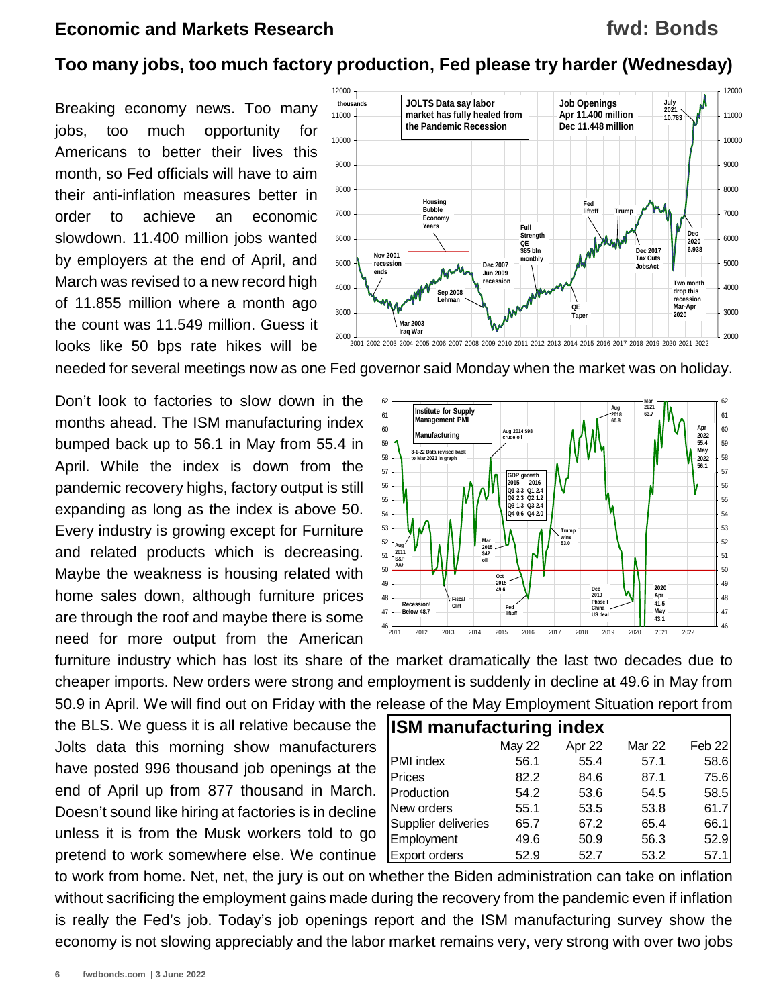## **fwd: Bonds**

## **Too many jobs, too much factory production, Fed please try harder (Wednesday)**

Breaking economy news. Too many jobs, too much opportunity for Americans to better their lives this month, so Fed officials will have to aim their anti-inflation measures better in order to achieve an economic slowdown. 11.400 million jobs wanted by employers at the end of April, and March was revised to a new record high of 11.855 million where a month ago the count was 11.549 million. Guess it looks like 50 bps rate hikes will be



needed for several meetings now as one Fed governor said Monday when the market was on holiday.

Don't look to factories to slow down in the months ahead. The ISM manufacturing index bumped back up to 56.1 in May from 55.4 in April. While the index is down from the pandemic recovery highs, factory output is still expanding as long as the index is above 50. Every industry is growing except for Furniture and related products which is decreasing. Maybe the weakness is housing related with home sales down, although furniture prices are through the roof and maybe there is some need for more output from the American



furniture industry which has lost its share of the market dramatically the last two decades due to cheaper imports. New orders were strong and employment is suddenly in decline at 49.6 in May from 50.9 in April. We will find out on Friday with the release of the May Employment Situation report from

the BLS. We guess it is all relative because the Jolts data this morning show manufacturers have posted 996 thousand job openings at the end of April up from 877 thousand in March. Doesn't sound like hiring at factories is in decline unless it is from the Musk workers told to go pretend to work somewhere else. We continue

| <b>ISM manufacturing index</b> |               |        |               |        |  |  |  |  |  |
|--------------------------------|---------------|--------|---------------|--------|--|--|--|--|--|
|                                | <b>May 22</b> | Apr 22 | <b>Mar 22</b> | Feb 22 |  |  |  |  |  |
| PMI index                      | 56.1          | 55.4   | 57.1          | 58.6   |  |  |  |  |  |
| Prices                         | 82.2          | 84.6   | 87.1          | 75.6   |  |  |  |  |  |
| Production                     | 54.2          | 53.6   | 54.5          | 58.5   |  |  |  |  |  |
| New orders                     | 55.1          | 53.5   | 53.8          | 61.7   |  |  |  |  |  |
| Supplier deliveries            | 65.7          | 67.2   | 65.4          | 66.1   |  |  |  |  |  |
| Employment                     | 49.6          | 50.9   | 56.3          | 52.9   |  |  |  |  |  |
| <b>Export orders</b>           | 52.9          | 52.7   | 53.2          | 57.1   |  |  |  |  |  |

to work from home. Net, net, the jury is out on whether the Biden administration can take on inflation without sacrificing the employment gains made during the recovery from the pandemic even if inflation is really the Fed's job. Today's job openings report and the ISM manufacturing survey show the economy is not slowing appreciably and the labor market remains very, very strong with over two jobs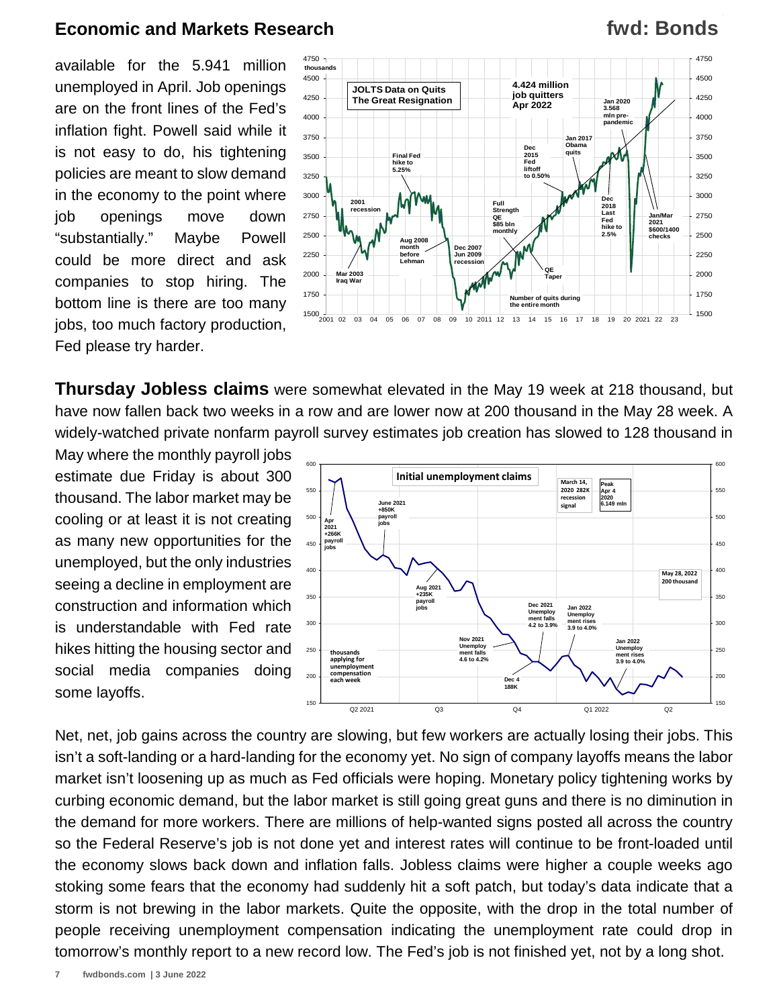available for the 5.941 million unemployed in April. Job openings are on the front lines of the Fed's inflation fight. Powell said while it is not easy to do, his tightening policies are meant to slow demand in the economy to the point where job openings move down "substantially." Maybe Powell could be more direct and ask companies to stop hiring. The bottom line is there are too many jobs, too much factory production, Fed please try harder.



**Thursday Jobless claims** were somewhat elevated in the May 19 week at 218 thousand, but have now fallen back two weeks in a row and are lower now at 200 thousand in the May 28 week. A widely-watched private nonfarm payroll survey estimates job creation has slowed to 128 thousand in

May where the monthly payroll jobs estimate due Friday is about 300 thousand. The labor market may be cooling or at least it is not creating as many new opportunities for the unemployed, but the only industries seeing a decline in employment are construction and information which is understandable with Fed rate hikes hitting the housing sector and social media companies doing some layoffs.



Net, net, job gains across the country are slowing, but few workers are actually losing their jobs. This isn't a soft-landing or a hard-landing for the economy yet. No sign of company layoffs means the labor market isn't loosening up as much as Fed officials were hoping. Monetary policy tightening works by curbing economic demand, but the labor market is still going great guns and there is no diminution in the demand for more workers. There are millions of help-wanted signs posted all across the country so the Federal Reserve's job is not done yet and interest rates will continue to be front-loaded until the economy slows back down and inflation falls. Jobless claims were higher a couple weeks ago stoking some fears that the economy had suddenly hit a soft patch, but today's data indicate that a storm is not brewing in the labor markets. Quite the opposite, with the drop in the total number of people receiving unemployment compensation indicating the unemployment rate could drop in tomorrow's monthly report to a new record low. The Fed's job is not finished yet, not by a long shot.